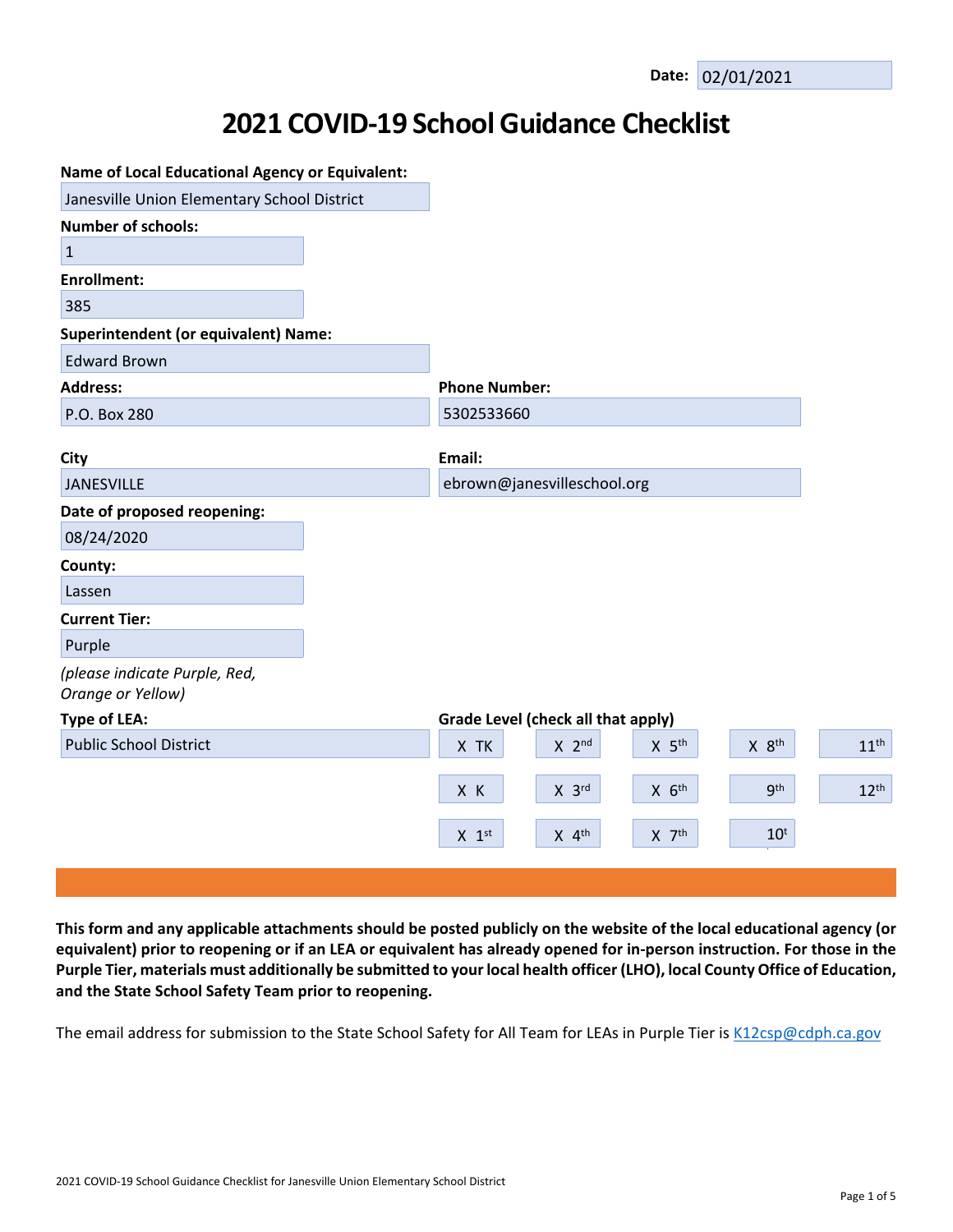# **2021 COVID-19 School Guidance Checklist**

| <b>Name of Local Educational Agency or Equivalent:</b> |                      |                                    |                     |                   |                  |
|--------------------------------------------------------|----------------------|------------------------------------|---------------------|-------------------|------------------|
| Janesville Union Elementary School District            |                      |                                    |                     |                   |                  |
| <b>Number of schools:</b>                              |                      |                                    |                     |                   |                  |
| $\mathbf{1}$                                           |                      |                                    |                     |                   |                  |
| <b>Enrollment:</b>                                     |                      |                                    |                     |                   |                  |
| 385                                                    |                      |                                    |                     |                   |                  |
| <b>Superintendent (or equivalent) Name:</b>            |                      |                                    |                     |                   |                  |
| <b>Edward Brown</b>                                    |                      |                                    |                     |                   |                  |
| <b>Address:</b>                                        | <b>Phone Number:</b> |                                    |                     |                   |                  |
| P.O. Box 280                                           | 5302533660           |                                    |                     |                   |                  |
|                                                        |                      |                                    |                     |                   |                  |
| City                                                   | Email:               |                                    |                     |                   |                  |
| JANESVILLE                                             |                      | ebrown@janesvilleschool.org        |                     |                   |                  |
| Date of proposed reopening:                            |                      |                                    |                     |                   |                  |
| 08/24/2020                                             |                      |                                    |                     |                   |                  |
| County:                                                |                      |                                    |                     |                   |                  |
| Lassen                                                 |                      |                                    |                     |                   |                  |
| <b>Current Tier:</b>                                   |                      |                                    |                     |                   |                  |
| Purple                                                 |                      |                                    |                     |                   |                  |
| (please indicate Purple, Red,<br>Orange or Yellow)     |                      |                                    |                     |                   |                  |
| <b>Type of LEA:</b>                                    |                      | Grade Level (check all that apply) |                     |                   |                  |
| <b>Public School District</b>                          | X TK                 | $X$ 2 <sup>nd</sup>                | $X$ 5 <sup>th</sup> | X 8 <sup>th</sup> | 11 <sup>th</sup> |
|                                                        | X K                  | $X$ 3rd                            | $X$ $6th$           | <b>gth</b>        | 12 <sup>th</sup> |
|                                                        | $X$ 1st              | $X$ 4 <sup>th</sup>                | $X$ $7th$           | $10^t$            |                  |
|                                                        |                      |                                    |                     |                   |                  |

This form and any applicable attachments should be posted publicly on the website of the local educational agency (or equivalent) prior to reopening or if an LEA or equivalent has already opened for in-person instruction. For those in the Purple Tier, materials must additionally be submitted to your local health officer (LHO), local County Office of Education, **and the State School Safety Team prior to reopening.**

The email address for submission to the State School Safety for All Team for LEAs in Purple Tier is [K12csp@cdph.ca.gov](mailto:K12csp@cdph.ca.gov)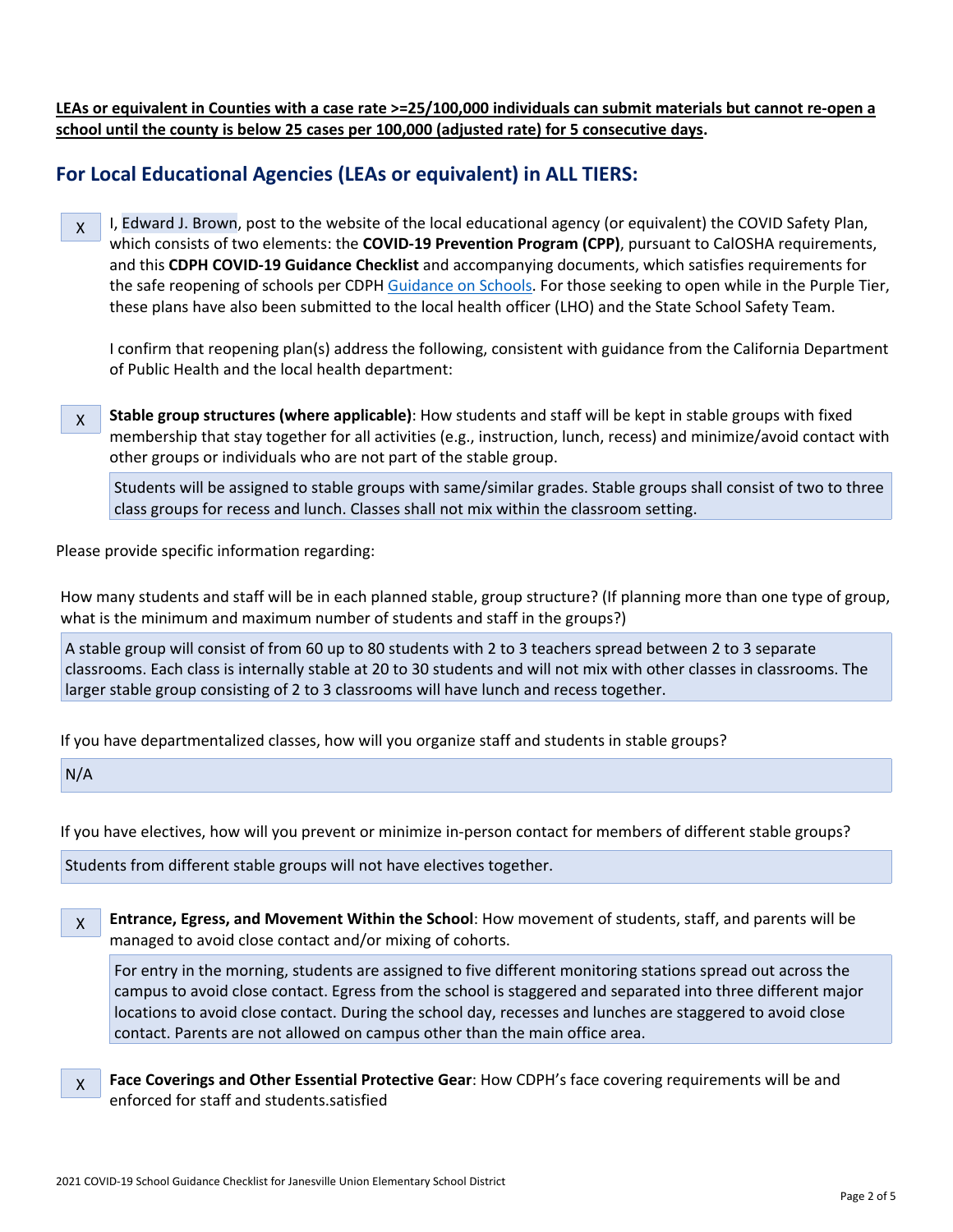LEAs or equivalent in Counties with a case rate >=25/100,000 individuals can submit materials but cannot re-open a **school until the county is below 25 cases per 100,000 (adjusted rate) for 5 consecutive days.**

## **For Local Educational Agencies (LEAs or equivalent) in ALL TIERS:**

X I, Edward J. Brown, post to the website of the local educational agency (or equivalent) the COVID Safety Plan, which consists of two elements: the **COVID-19 Prevention Program (CPP)**, pursuant to CalOSHA requirements, and this **CDPH COVID-19 Guidance Checklist** and accompanying documents, which satisfies requirements for the safe reopening of schools per CDPH [Guidance](https://www.cdph.ca.gov/Programs/CID/DCDC/CDPH%20Document%20Library/COVID-19/Consolidated_Schools_Guidance.pdf) on Schools. For those seeking to open while in the Purple Tier, these plans have also been submitted to the local health officer (LHO) and the State School Safety Team.

I confirm that reopening plan(s) address the following, consistent with guidance from the California Department of Public Health and the local health department:

X **Stable group structures (where applicable)**: How students and staff will be kept in stable groups with fixed membership that stay together for all activities (e.g., instruction, lunch, recess) and minimize/avoid contact with other groups or individuals who are not part of the stable group.

Students will be assigned to stable groups with same/similar grades. Stable groups shall consist of two to three class groups for recess and lunch. Classes shall not mix within the classroom setting.

Please provide specific information regarding:

How many students and staff will be in each planned stable, group structure? (If planning more than one type of group, what is the minimum and maximum number of students and staff in the groups?)

A stable group will consist of from 60 up to 80 students with 2 to 3 teachers spread between 2 to 3 separate classrooms. Each class is internally stable at 20 to 30 students and will not mix with other classes in classrooms. The larger stable group consisting of 2 to 3 classrooms will have lunch and recess together.

If you have departmentalized classes, how will you organize staff and students in stable groups?

 $N/A$ 

If you have electives, how will you prevent or minimize in-person contact for members of different stable groups?

Students from different stable groups will not have electives together.

X **Entrance, Egress, and Movement Within the School**: How movement of students, staff, and parents will be managed to avoid close contact and/or mixing of cohorts.

For entry in the morning, students are assigned to five different monitoring stations spread out across the campus to avoid close contact. Egress from the school is staggered and separated into three different major locations to avoid close contact. During the school day, recesses and lunches are staggered to avoid close contact. Parents are not allowed on campus other than the main office area.

X **Face Coverings and Other Essential Protective Gear**: How CDPH's face covering requirements will be and enforced for staff and students.satisfied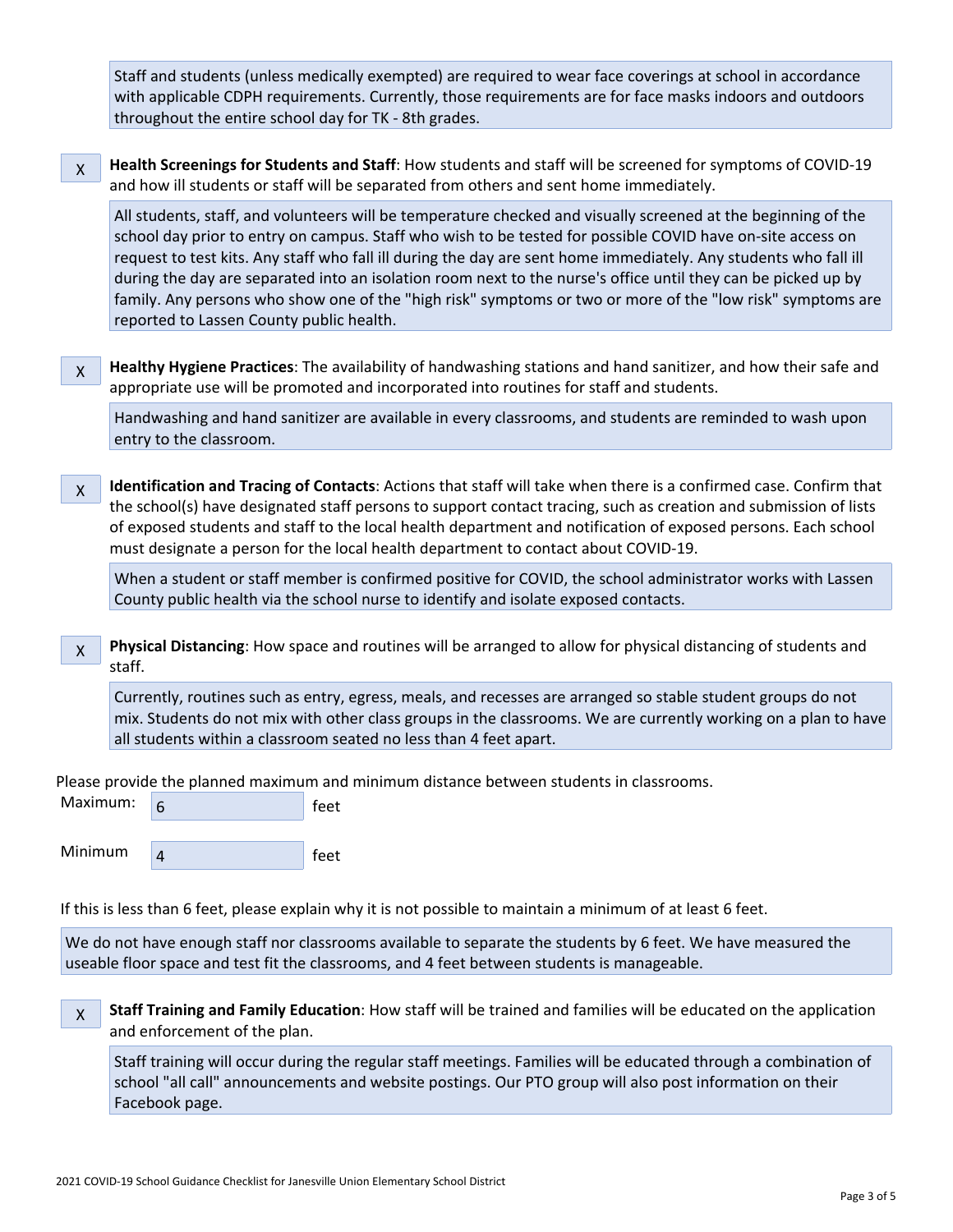Staff and students (unless medically exempted) are required to wear face coverings at school in accordance with applicable CDPH requirements. Currently, those requirements are for face masks indoors and outdoors throughout the entire school day for TK - 8th grades.

X **Health Screenings for Students and Staff**: How students and staff will be screened for symptoms of COVID-19 and how ill students or staff will be separated from others and sent home immediately.

All students, staff, and volunteers will be temperature checked and visually screened at the beginning of the school day prior to entry on campus. Staff who wish to be tested for possible COVID have on-site access on request to test kits. Any staff who fall ill during the day are sent home immediately. Any students who fall ill during the day are separated into an isolation room next to the nurse's office until they can be picked up by family. Any persons who show one of the "high risk" symptoms or two or more of the "low risk" symptoms are reported to Lassen County public health.

X **Healthy Hygiene Practices**: The availability of handwashing stations and hand sanitizer, and how their safe and appropriate use will be promoted and incorporated into routines for staff and students.

Handwashing and hand sanitizer are available in every classrooms, and students are reminded to wash upon entry to the classroom.

X **Identification and Tracing of Contacts**: Actions that staff will take when there is a confirmed case. Confirm that the school(s) have designated staff persons to support contact tracing, such as creation and submission of lists of exposed students and staff to the local health department and notification of exposed persons. Each school must designate a person for the local health department to contact about COVID-19.

When a student or staff member is confirmed positive for COVID, the school administrator works with Lassen County public health via the school nurse to identify and isolate exposed contacts.

X **Physical Distancing**: How space and routines will be arranged to allow for physical distancing of students and staff.

Currently, routines such as entry, egress, meals, and recesses are arranged so stable student groups do not mix. Students do not mix with other class groups in the classrooms. We are currently working on a plan to have all students within a classroom seated no less than 4 feet apart.

Please provide the planned maximum and minimum distance between students in classrooms.

| Maximum: 6 | feet |  |
|------------|------|--|
|            |      |  |

Minimum  $\begin{array}{c|c|c|c} & 4 & \hline \end{array}$  feet

If this is less than 6 feet, please explain why it is not possible to maintain a minimum of at least 6 feet.

We do not have enough staff nor classrooms available to separate the students by 6 feet. We have measured the useable floor space and test fit the classrooms, and 4 feet between students is manageable.

X **Staff Training and Family Education**: How staff will be trained and families will be educated on the application and enforcement of the plan.

Staff training will occur during the regular staff meetings. Families will be educated through a combination of school "all call" announcements and website postings. Our PTO group will also post information on their Facebook page.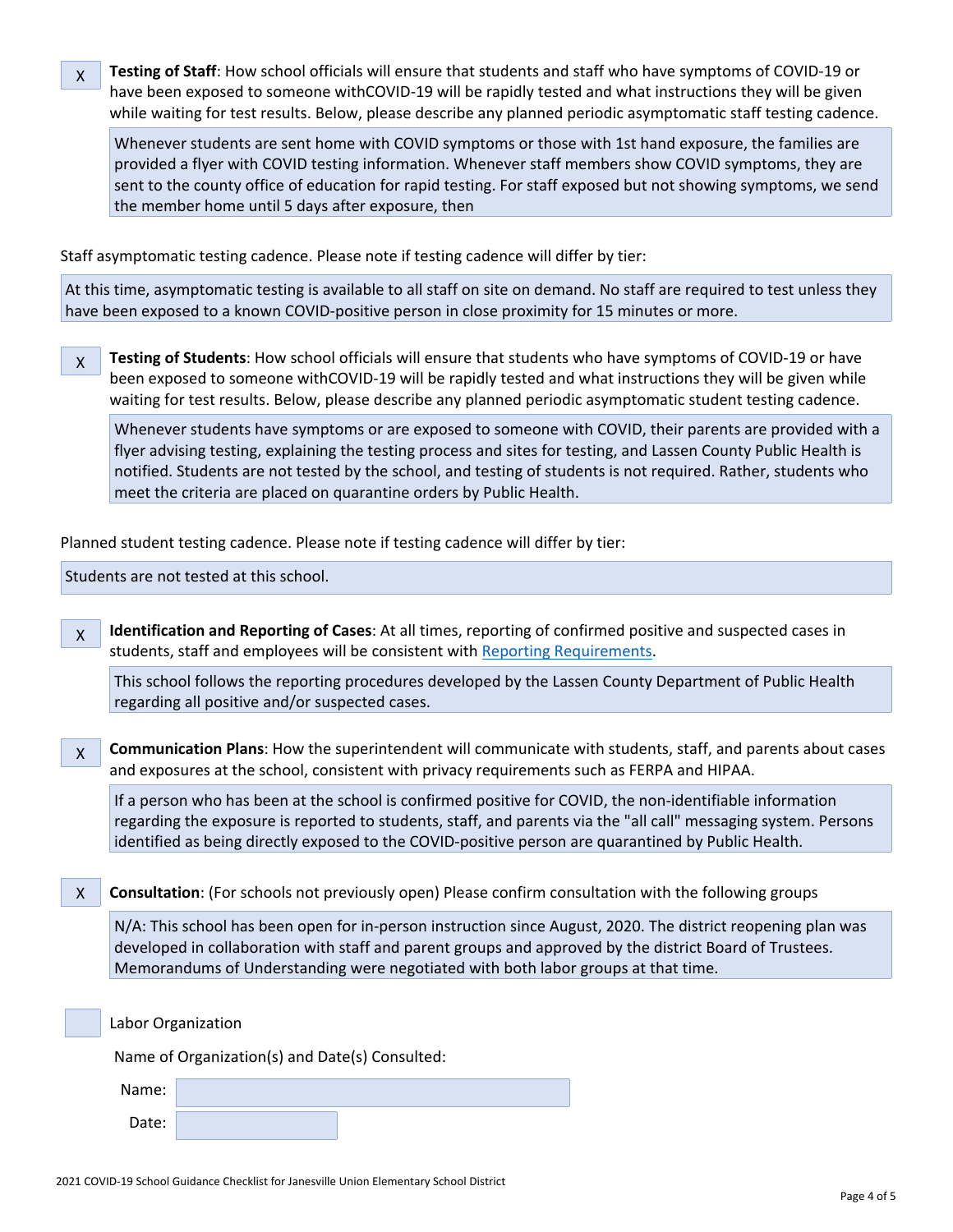X **Testing of Staff**: How school officials will ensure that students and staff who have symptoms of COVID-19 or have been exposed to someone withCOVID-19 will be rapidly tested and what instructions they will be given while waiting for test results. Below, please describe any planned periodic asymptomatic staff testing cadence.

Whenever students are sent home with COVID symptoms or those with 1st hand exposure, the families are provided a flyer with COVID testing information. Whenever staff members show COVID symptoms, they are sent to the county office of education for rapid testing. For staff exposed but not showing symptoms, we send the member home until 5 days after exposure, then

Staff asymptomatic testing cadence. Please note if testing cadence will differ by tier:

At this time, asymptomatic testing is available to all staff on site on demand. No staff are required to test unless they have been exposed to a known COVID-positive person in close proximity for 15 minutes or more.

X **Testing of Students**: How school officials will ensure that students who have symptoms of COVID-19 or have been exposed to someone withCOVID-19 will be rapidly tested and what instructions they will be given while waiting for test results. Below, please describe any planned periodic asymptomatic student testing cadence.

Whenever students have symptoms or are exposed to someone with COVID, their parents are provided with a flyer advising testing, explaining the testing process and sites for testing, and Lassen County Public Health is notified. Students are not tested by the school, and testing of students is not required. Rather, students who meet the criteria are placed on quarantine orders by Public Health.

Planned student testing cadence. Please note if testing cadence will differ by tier:

Students are not tested at this school.

X **Identification and Reporting of Cases**: At all times, reporting of confirmed positive and suspected cases in students, staff and employees will be consistent with Reporting [Requirements](http://www.doc-tracking.com/screenshots/COVID-19/Case%20Reporting%20by%20Schools%20Directive.pdf).

This school follows the reporting procedures developed by the Lassen County Department of Public Health regarding all positive and/or suspected cases.

X **Communication Plans**: How the superintendent will communicate with students, staff, and parents about cases and exposures at the school, consistent with privacy requirements such as FERPA and HIPAA.

If a person who has been at the school is confirmed positive for COVID, the non-identifiable information regarding the exposure is reported to students, staff, and parents via the "all call" messaging system. Persons identified as being directly exposed to the COVID-positive person are quarantined by Public Health.

X **Consultation**: (For schools not previously open) Please confirm consultation with the following groups

N/A: This school has been open for in-person instruction since August, 2020. The district reopening plan was developed in collaboration with staff and parent groups and approved by the district Board of Trustees. Memorandums of Understanding were negotiated with both labor groups at that time.

Labor Organization

Name of Organization(s) and Date(s) Consulted:

| Name: |  |
|-------|--|
| Date: |  |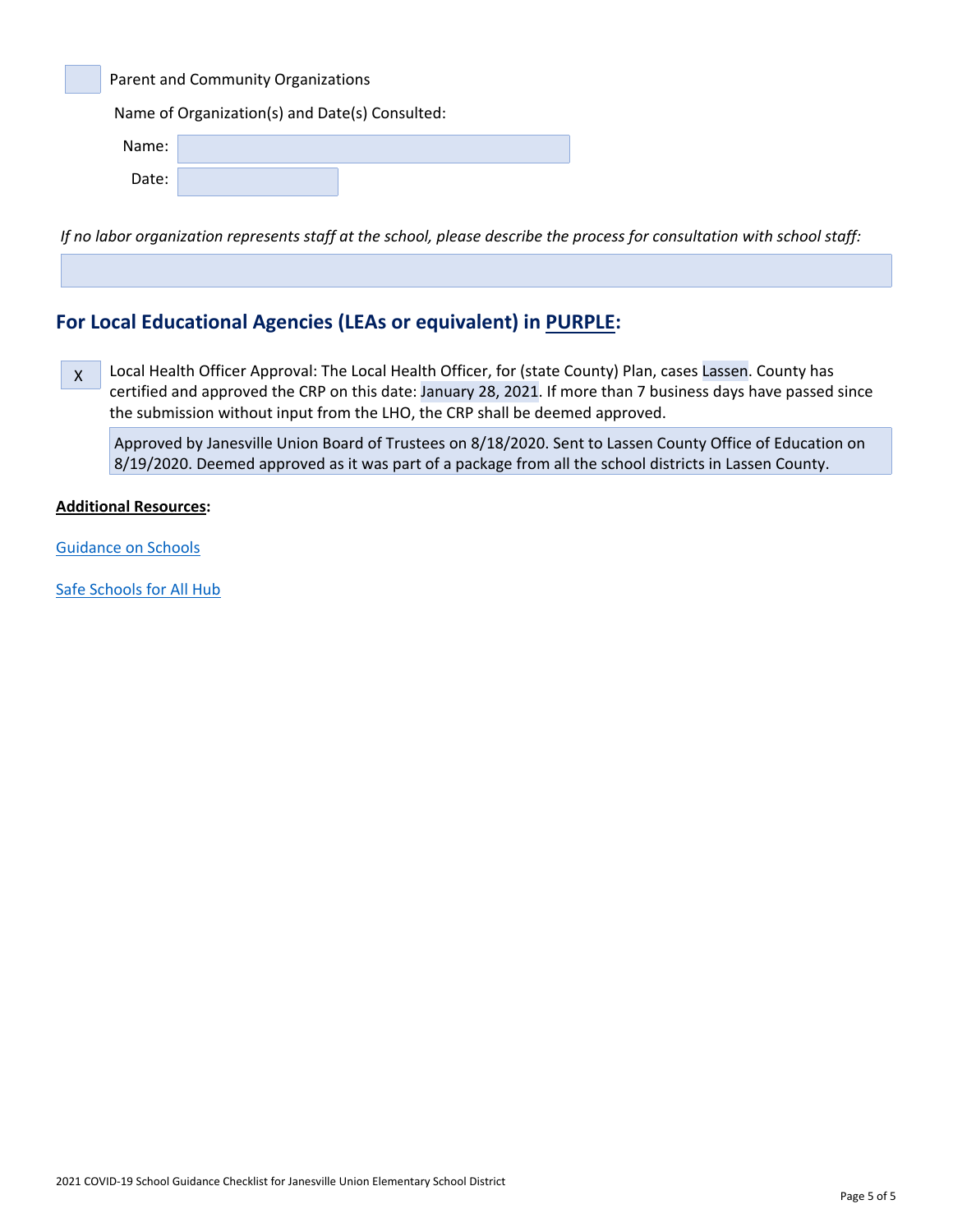Parent and Community Organizations

Name of Organization(s) and Date(s) Consulted:

| Name: |  |
|-------|--|
| Date: |  |

If no labor organization represents staff at the school, please describe the process for consultation with school staff:

# **For Local Educational Agencies (LEAs or equivalent) in PURPLE:**

 $\mathsf X$ Local Health Officer Approval: The Local Health Officer, for (state County) Plan, cases Lassen. County has certified and approved the CRP on this date: January 28, 2021. If more than 7 business days have passed since the submission without input from the LHO, the CRP shall be deemed approved.

Approved by Janesville Union Board of Trustees on 8/18/2020. Sent to Lassen County Office of Education on 8/19/2020. Deemed approved as it was part of a package from all the school districts in Lassen County.

#### **Additional Resources:**

[Guidance](http://www.doc-tracking.com/screenshots/COVID-19/Consolidated_Schools_Guidance.pdf) on Schools

Safe [Schools](https://schools.covid19.ca.gov/) for All Hub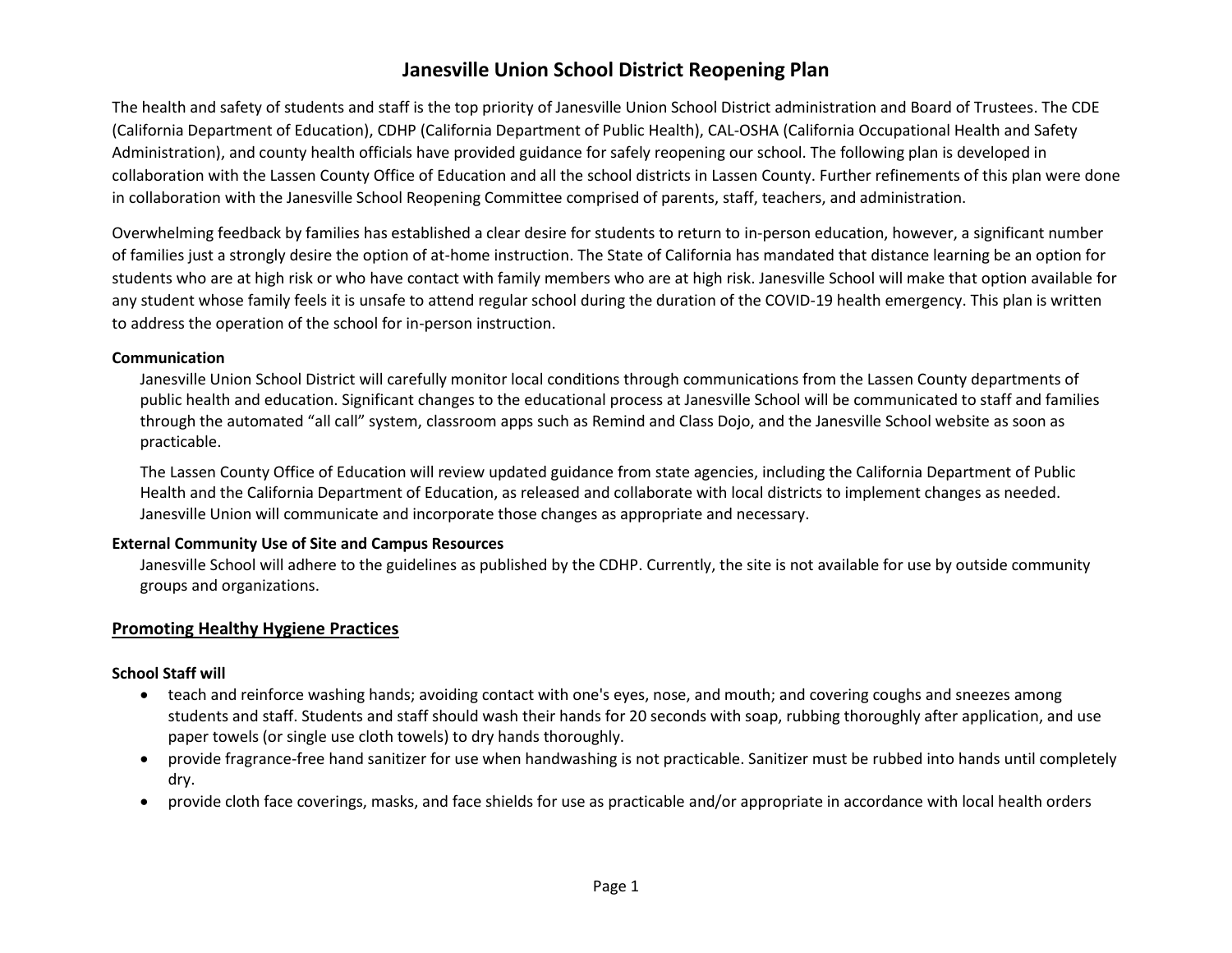## **Janesville Union School District Reopening Plan**

The health and safety of students and staff is the top priority of Janesville Union School District administration and Board of Trustees. The CDE (California Department of Education), CDHP (California Department of Public Health), CAL-OSHA (California Occupational Health and Safety Administration), and county health officials have provided guidance for safely reopening our school. The following plan is developed in collaboration with the Lassen County Office of Education and all the school districts in Lassen County. Further refinements of this plan were done in collaboration with the Janesville School Reopening Committee comprised of parents, staff, teachers, and administration.

Overwhelming feedback by families has established a clear desire for students to return to in-person education, however, a significant number of families just a strongly desire the option of at-home instruction. The State of California has mandated that distance learning be an option for students who are at high risk or who have contact with family members who are at high risk. Janesville School will make that option available for any student whose family feels it is unsafe to attend regular school during the duration of the COVID-19 health emergency. This plan is written to address the operation of the school for in-person instruction.

#### **Communication**

Janesville Union School District will carefully monitor local conditions through communications from the Lassen County departments of public health and education. Significant changes to the educational process at Janesville School will be communicated to staff and families through the automated "all call" system, classroom apps such as Remind and Class Dojo, and the Janesville School website as soon as practicable.

The Lassen County Office of Education will review updated guidance from state agencies, including the California Department of Public Health and the California Department of Education, as released and collaborate with local districts to implement changes as needed. Janesville Union will communicate and incorporate those changes as appropriate and necessary.

#### **External Community Use of Site and Campus Resources**

Janesville School will adhere to the guidelines as published by the CDHP. Currently, the site is not available for use by outside community groups and organizations.

#### **Promoting Healthy Hygiene Practices**

#### **School Staff will**

- teach and reinforce washing hands; avoiding contact with one's eyes, nose, and mouth; and covering coughs and sneezes among students and staff. Students and staff should wash their hands for 20 seconds with soap, rubbing thoroughly after application, and use paper towels (or single use cloth towels) to dry hands thoroughly.
- provide fragrance-free hand sanitizer for use when handwashing is not practicable. Sanitizer must be rubbed into hands until completely dry.
- provide cloth face coverings, masks, and face shields for use as practicable and/or appropriate in accordance with local health orders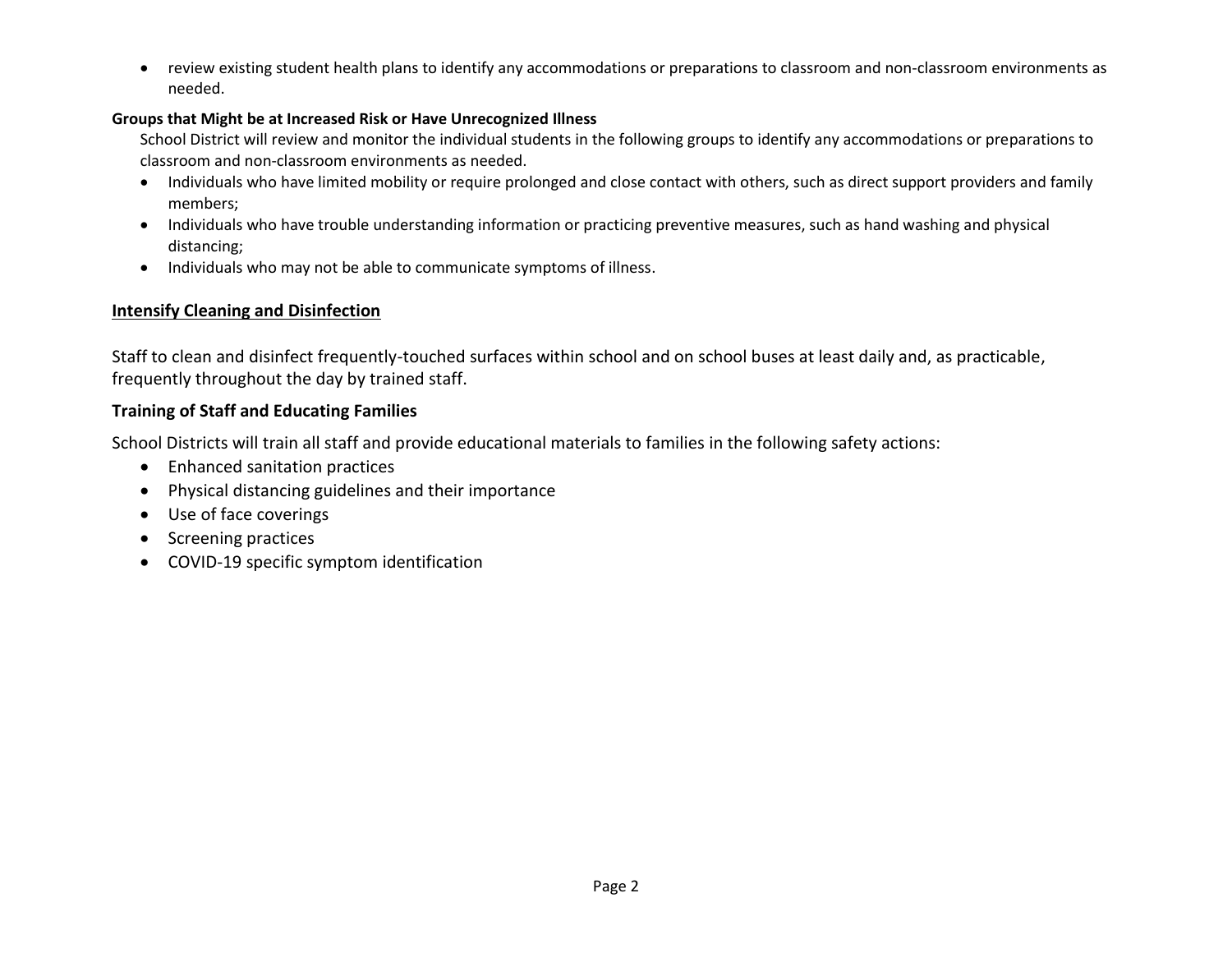review existing student health plans to identify any accommodations or preparations to classroom and non-classroom environments as needed.

#### **Groups that Might be at Increased Risk or Have Unrecognized Illness**

School District will review and monitor the individual students in the following groups to identify any accommodations or preparations to classroom and non-classroom environments as needed.

- Individuals who have limited mobility or require prolonged and close contact with others, such as direct support providers and family members;
- Individuals who have trouble understanding information or practicing preventive measures, such as hand washing and physical distancing;
- Individuals who may not be able to communicate symptoms of illness.

## **Intensify Cleaning and Disinfection**

Staff to clean and disinfect frequently-touched surfaces within school and on school buses at least daily and, as practicable, frequently throughout the day by trained staff.

## **Training of Staff and Educating Families**

School Districts will train all staff and provide educational materials to families in the following safety actions:

- Enhanced sanitation practices
- Physical distancing guidelines and their importance
- Use of face coverings
- Screening practices
- COVID-19 specific symptom identification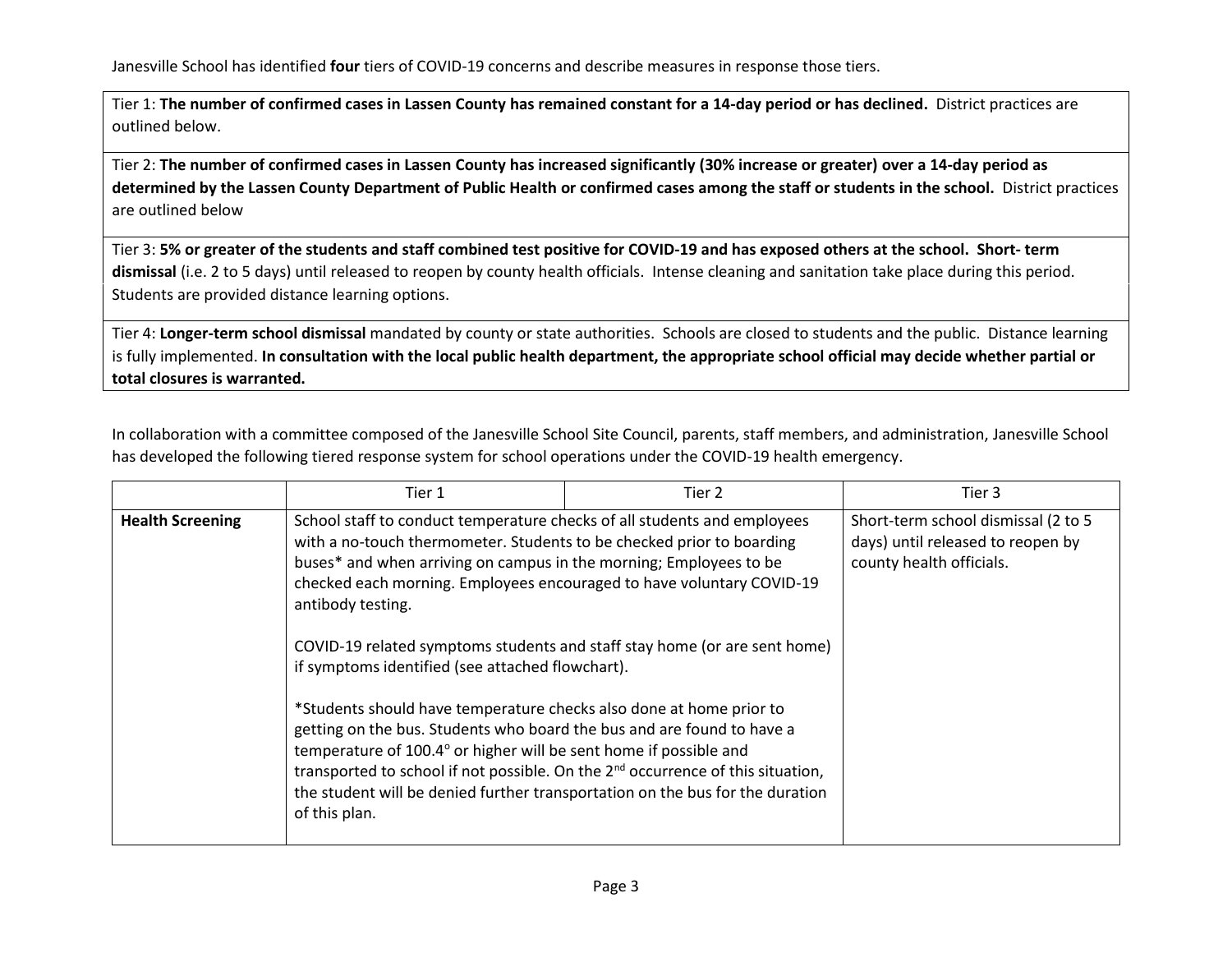Tier 1: **The number of confirmed cases in Lassen County has remained constant for a 14-day period or has declined.** District practices are outlined below.

Tier 2: **The number of confirmed cases in Lassen County has increased significantly (30% increase or greater) over a 14-day period as determined by the Lassen County Department of Public Health or confirmed cases among the staff or students in the school.** District practices are outlined below

Tier 3: **5% or greater of the students and staff combined test positive for COVID-19 and has exposed others at the school. Short- term dismissal** (i.e. 2 to 5 days) until released to reopen by county health officials. Intense cleaning and sanitation take place during this period. Students are provided distance learning options.

Tier 4: **Longer-term school dismissal** mandated by county or state authorities. Schools are closed to students and the public. Distance learning is fully implemented. **In consultation with the local public health department, the appropriate school official may decide whether partial or total closures is warranted.**

In collaboration with a committee composed of the Janesville School Site Council, parents, staff members, and administration, Janesville School has developed the following tiered response system for school operations under the COVID-19 health emergency.

|                         | Tier 1                                                                                                                                                                                                                                                                                                                                                                                                                                                 | Tier 2 | Tier 3                                                                                               |
|-------------------------|--------------------------------------------------------------------------------------------------------------------------------------------------------------------------------------------------------------------------------------------------------------------------------------------------------------------------------------------------------------------------------------------------------------------------------------------------------|--------|------------------------------------------------------------------------------------------------------|
| <b>Health Screening</b> | School staff to conduct temperature checks of all students and employees<br>with a no-touch thermometer. Students to be checked prior to boarding<br>buses* and when arriving on campus in the morning; Employees to be<br>checked each morning. Employees encouraged to have voluntary COVID-19<br>antibody testing.<br>COVID-19 related symptoms students and staff stay home (or are sent home)<br>if symptoms identified (see attached flowchart). |        | Short-term school dismissal (2 to 5<br>days) until released to reopen by<br>county health officials. |
|                         | *Students should have temperature checks also done at home prior to<br>getting on the bus. Students who board the bus and are found to have a<br>temperature of 100.4° or higher will be sent home if possible and<br>transported to school if not possible. On the 2 <sup>nd</sup> occurrence of this situation,<br>the student will be denied further transportation on the bus for the duration<br>of this plan.                                    |        |                                                                                                      |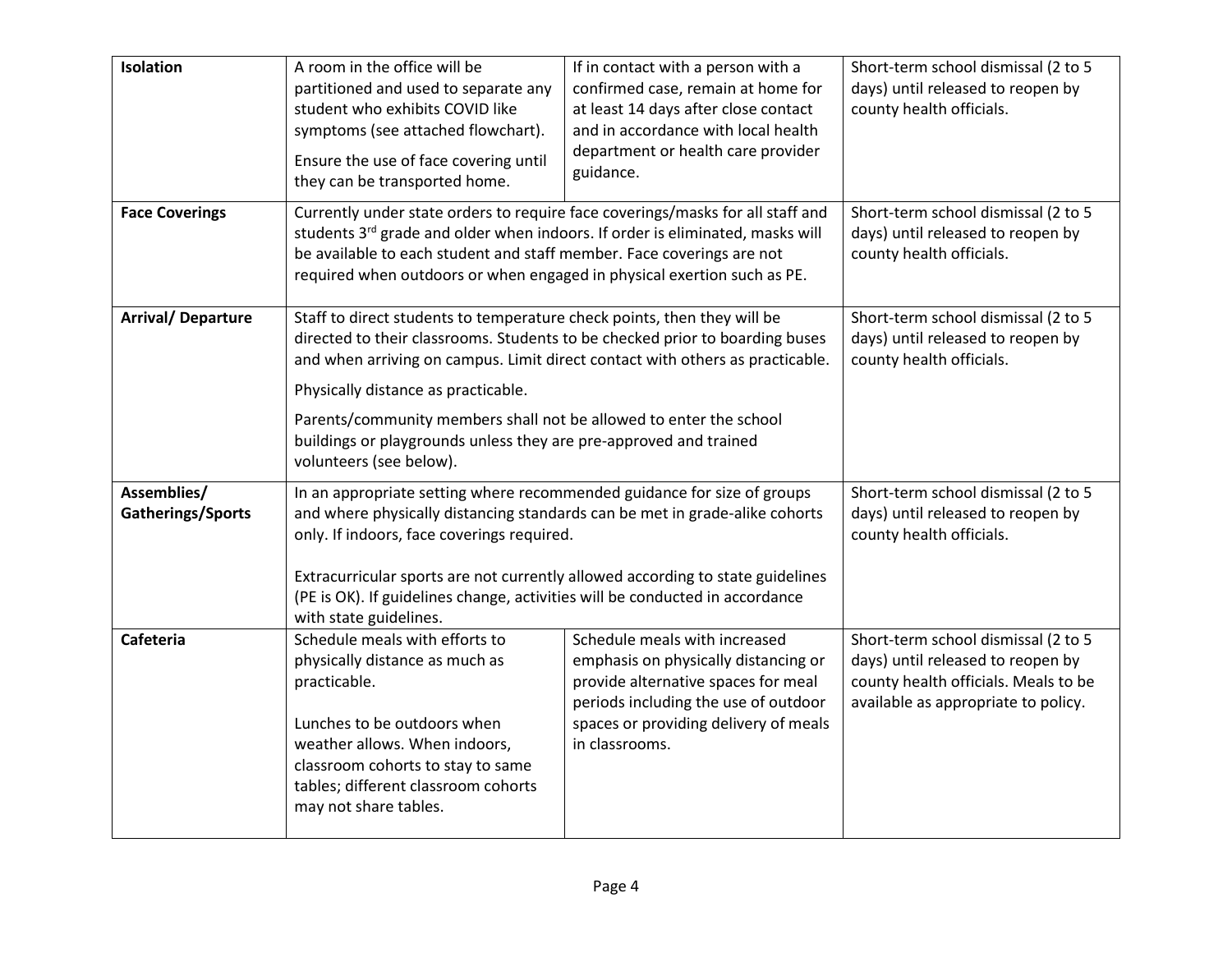| Isolation                        | A room in the office will be<br>partitioned and used to separate any<br>student who exhibits COVID like<br>symptoms (see attached flowchart).<br>Ensure the use of face covering until<br>they can be transported home.                                                                                                                                                                                                                               | If in contact with a person with a<br>confirmed case, remain at home for<br>at least 14 days after close contact<br>and in accordance with local health<br>department or health care provider<br>guidance.      | Short-term school dismissal (2 to 5<br>days) until released to reopen by<br>county health officials.                                                    |
|----------------------------------|-------------------------------------------------------------------------------------------------------------------------------------------------------------------------------------------------------------------------------------------------------------------------------------------------------------------------------------------------------------------------------------------------------------------------------------------------------|-----------------------------------------------------------------------------------------------------------------------------------------------------------------------------------------------------------------|---------------------------------------------------------------------------------------------------------------------------------------------------------|
| <b>Face Coverings</b>            | Currently under state orders to require face coverings/masks for all staff and<br>students 3rd grade and older when indoors. If order is eliminated, masks will<br>be available to each student and staff member. Face coverings are not<br>required when outdoors or when engaged in physical exertion such as PE.                                                                                                                                   | Short-term school dismissal (2 to 5<br>days) until released to reopen by<br>county health officials.                                                                                                            |                                                                                                                                                         |
| <b>Arrival/ Departure</b>        | Staff to direct students to temperature check points, then they will be<br>directed to their classrooms. Students to be checked prior to boarding buses<br>and when arriving on campus. Limit direct contact with others as practicable.<br>Physically distance as practicable.<br>Parents/community members shall not be allowed to enter the school<br>buildings or playgrounds unless they are pre-approved and trained<br>volunteers (see below). | Short-term school dismissal (2 to 5<br>days) until released to reopen by<br>county health officials.                                                                                                            |                                                                                                                                                         |
| Assemblies/<br>Gatherings/Sports | In an appropriate setting where recommended guidance for size of groups<br>and where physically distancing standards can be met in grade-alike cohorts<br>only. If indoors, face coverings required.<br>Extracurricular sports are not currently allowed according to state guidelines<br>(PE is OK). If guidelines change, activities will be conducted in accordance<br>with state guidelines.                                                      |                                                                                                                                                                                                                 | Short-term school dismissal (2 to 5<br>days) until released to reopen by<br>county health officials.                                                    |
| Cafeteria                        | Schedule meals with efforts to<br>physically distance as much as<br>practicable.<br>Lunches to be outdoors when<br>weather allows. When indoors,<br>classroom cohorts to stay to same<br>tables; different classroom cohorts<br>may not share tables.                                                                                                                                                                                                 | Schedule meals with increased<br>emphasis on physically distancing or<br>provide alternative spaces for meal<br>periods including the use of outdoor<br>spaces or providing delivery of meals<br>in classrooms. | Short-term school dismissal (2 to 5<br>days) until released to reopen by<br>county health officials. Meals to be<br>available as appropriate to policy. |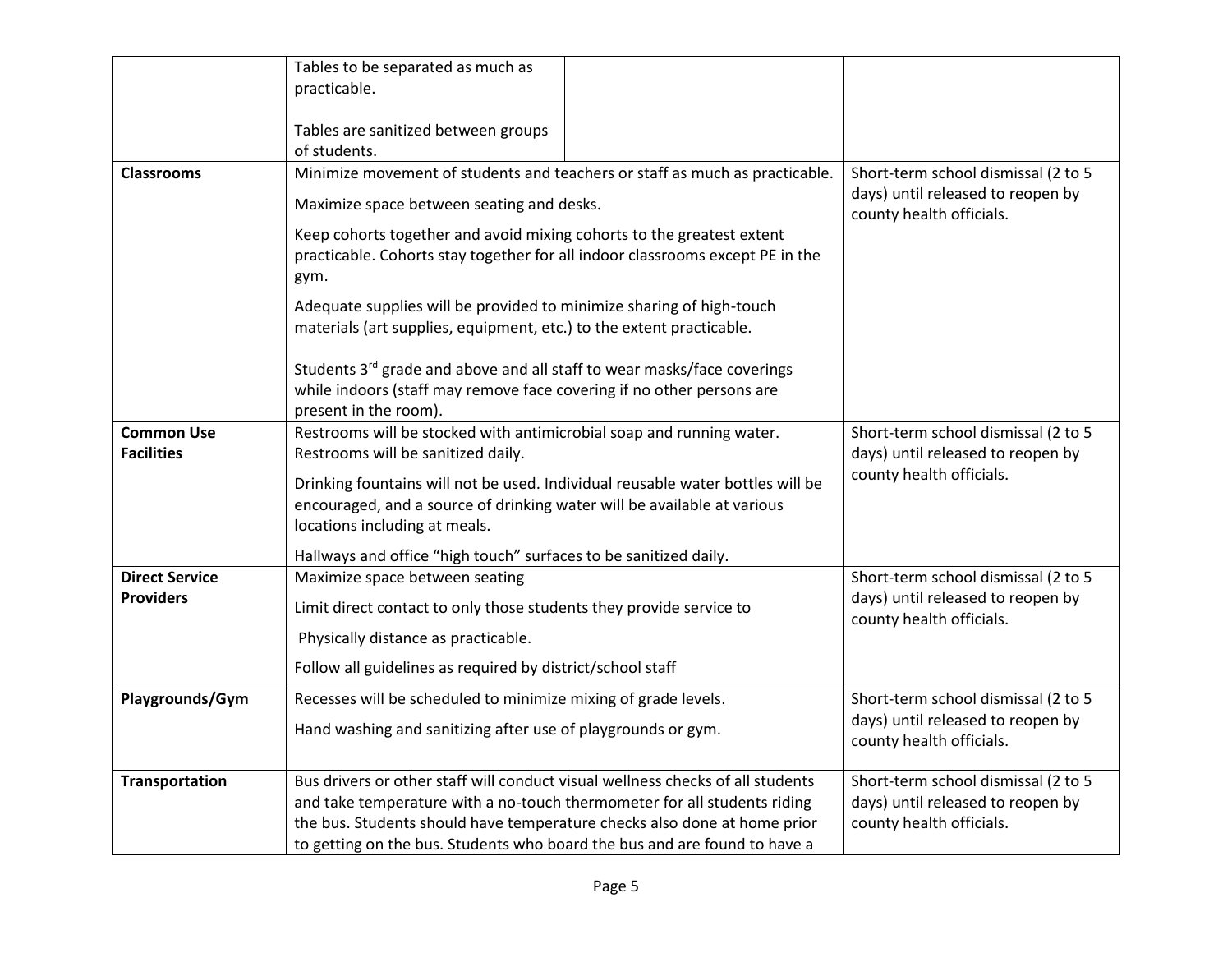|                       | Tables to be separated as much as                                                                                                                              |                                                               |
|-----------------------|----------------------------------------------------------------------------------------------------------------------------------------------------------------|---------------------------------------------------------------|
|                       | practicable.                                                                                                                                                   |                                                               |
|                       |                                                                                                                                                                |                                                               |
|                       | Tables are sanitized between groups                                                                                                                            |                                                               |
|                       | of students.                                                                                                                                                   |                                                               |
| <b>Classrooms</b>     | Minimize movement of students and teachers or staff as much as practicable.                                                                                    | Short-term school dismissal (2 to 5                           |
|                       | Maximize space between seating and desks.                                                                                                                      | days) until released to reopen by<br>county health officials. |
|                       | Keep cohorts together and avoid mixing cohorts to the greatest extent<br>practicable. Cohorts stay together for all indoor classrooms except PE in the<br>gym. |                                                               |
|                       | Adequate supplies will be provided to minimize sharing of high-touch<br>materials (art supplies, equipment, etc.) to the extent practicable.                   |                                                               |
|                       | Students 3rd grade and above and all staff to wear masks/face coverings                                                                                        |                                                               |
|                       | while indoors (staff may remove face covering if no other persons are                                                                                          |                                                               |
|                       | present in the room).                                                                                                                                          |                                                               |
| <b>Common Use</b>     | Restrooms will be stocked with antimicrobial soap and running water.                                                                                           | Short-term school dismissal (2 to 5                           |
| <b>Facilities</b>     | Restrooms will be sanitized daily.                                                                                                                             | days) until released to reopen by<br>county health officials. |
|                       | Drinking fountains will not be used. Individual reusable water bottles will be                                                                                 |                                                               |
|                       | encouraged, and a source of drinking water will be available at various                                                                                        |                                                               |
|                       | locations including at meals.                                                                                                                                  |                                                               |
|                       | Hallways and office "high touch" surfaces to be sanitized daily.                                                                                               |                                                               |
| <b>Direct Service</b> | Maximize space between seating                                                                                                                                 | Short-term school dismissal (2 to 5                           |
| <b>Providers</b>      | Limit direct contact to only those students they provide service to                                                                                            | days) until released to reopen by<br>county health officials. |
|                       | Physically distance as practicable.                                                                                                                            |                                                               |
|                       | Follow all guidelines as required by district/school staff                                                                                                     |                                                               |
| Playgrounds/Gym       | Recesses will be scheduled to minimize mixing of grade levels.                                                                                                 | Short-term school dismissal (2 to 5                           |
|                       | Hand washing and sanitizing after use of playgrounds or gym.                                                                                                   | days) until released to reopen by<br>county health officials. |
| <b>Transportation</b> | Bus drivers or other staff will conduct visual wellness checks of all students                                                                                 | Short-term school dismissal (2 to 5                           |
|                       | and take temperature with a no-touch thermometer for all students riding                                                                                       | days) until released to reopen by                             |
|                       | the bus. Students should have temperature checks also done at home prior                                                                                       | county health officials.                                      |
|                       | to getting on the bus. Students who board the bus and are found to have a                                                                                      |                                                               |